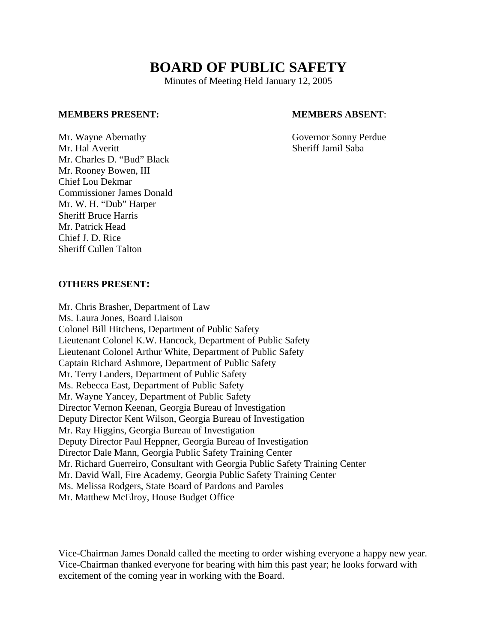# **BOARD OF PUBLIC SAFETY**

Minutes of Meeting Held January 12, 2005

#### **MEMBERS PRESENT: MEMBERS ABSENT**:

Mr. Wayne Abernathy Governor Sonny Perdue Mr. Hal Averitt Sheriff Jamil Saba Mr. Charles D. "Bud" Black Mr. Rooney Bowen, III Chief Lou Dekmar Commissioner James Donald Mr. W. H. "Dub" Harper Sheriff Bruce Harris Mr. Patrick Head Chief J. D. Rice Sheriff Cullen Talton

## **OTHERS PRESENT:**

Mr. Chris Brasher, Department of Law Ms. Laura Jones, Board Liaison Colonel Bill Hitchens, Department of Public Safety Lieutenant Colonel K.W. Hancock, Department of Public Safety Lieutenant Colonel Arthur White, Department of Public Safety Captain Richard Ashmore, Department of Public Safety Mr. Terry Landers, Department of Public Safety Ms. Rebecca East, Department of Public Safety Mr. Wayne Yancey, Department of Public Safety Director Vernon Keenan, Georgia Bureau of Investigation Deputy Director Kent Wilson, Georgia Bureau of Investigation Mr. Ray Higgins, Georgia Bureau of Investigation Deputy Director Paul Heppner, Georgia Bureau of Investigation Director Dale Mann, Georgia Public Safety Training Center Mr. Richard Guerreiro, Consultant with Georgia Public Safety Training Center Mr. David Wall, Fire Academy, Georgia Public Safety Training Center Ms. Melissa Rodgers, State Board of Pardons and Paroles Mr. Matthew McElroy, House Budget Office

Vice-Chairman James Donald called the meeting to order wishing everyone a happy new year. Vice-Chairman thanked everyone for bearing with him this past year; he looks forward with excitement of the coming year in working with the Board.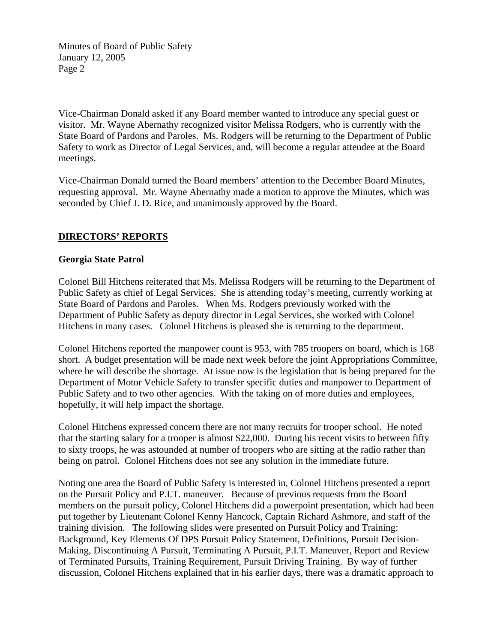Vice-Chairman Donald asked if any Board member wanted to introduce any special guest or visitor. Mr. Wayne Abernathy recognized visitor Melissa Rodgers, who is currently with the State Board of Pardons and Paroles. Ms. Rodgers will be returning to the Department of Public Safety to work as Director of Legal Services, and, will become a regular attendee at the Board meetings.

Vice-Chairman Donald turned the Board members' attention to the December Board Minutes, requesting approval. Mr. Wayne Abernathy made a motion to approve the Minutes, which was seconded by Chief J. D. Rice, and unanimously approved by the Board.

# **DIRECTORS' REPORTS**

### **Georgia State Patrol**

Colonel Bill Hitchens reiterated that Ms. Melissa Rodgers will be returning to the Department of Public Safety as chief of Legal Services. She is attending today's meeting, currently working at State Board of Pardons and Paroles. When Ms. Rodgers previously worked with the Department of Public Safety as deputy director in Legal Services, she worked with Colonel Hitchens in many cases. Colonel Hitchens is pleased she is returning to the department.

Colonel Hitchens reported the manpower count is 953, with 785 troopers on board, which is 168 short. A budget presentation will be made next week before the joint Appropriations Committee, where he will describe the shortage. At issue now is the legislation that is being prepared for the Department of Motor Vehicle Safety to transfer specific duties and manpower to Department of Public Safety and to two other agencies. With the taking on of more duties and employees, hopefully, it will help impact the shortage.

Colonel Hitchens expressed concern there are not many recruits for trooper school. He noted that the starting salary for a trooper is almost \$22,000. During his recent visits to between fifty to sixty troops, he was astounded at number of troopers who are sitting at the radio rather than being on patrol. Colonel Hitchens does not see any solution in the immediate future.

Noting one area the Board of Public Safety is interested in, Colonel Hitchens presented a report on the Pursuit Policy and P.I.T. maneuver. Because of previous requests from the Board members on the pursuit policy, Colonel Hitchens did a powerpoint presentation, which had been put together by Lieutenant Colonel Kenny Hancock, Captain Richard Ashmore, and staff of the training division. The following slides were presented on Pursuit Policy and Training: Background, Key Elements Of DPS Pursuit Policy Statement, Definitions, Pursuit Decision-Making, Discontinuing A Pursuit, Terminating A Pursuit, P.I.T. Maneuver, Report and Review of Terminated Pursuits, Training Requirement, Pursuit Driving Training. By way of further discussion, Colonel Hitchens explained that in his earlier days, there was a dramatic approach to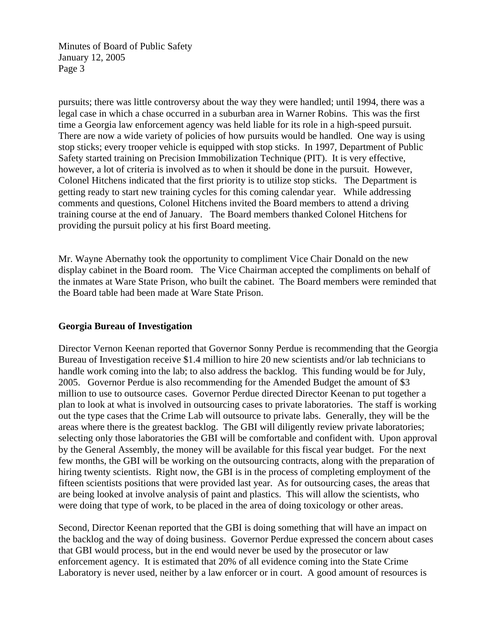pursuits; there was little controversy about the way they were handled; until 1994, there was a legal case in which a chase occurred in a suburban area in Warner Robins. This was the first time a Georgia law enforcement agency was held liable for its role in a high-speed pursuit. There are now a wide variety of policies of how pursuits would be handled. One way is using stop sticks; every trooper vehicle is equipped with stop sticks. In 1997, Department of Public Safety started training on Precision Immobilization Technique (PIT). It is very effective, however, a lot of criteria is involved as to when it should be done in the pursuit. However, Colonel Hitchens indicated that the first priority is to utilize stop sticks. The Department is getting ready to start new training cycles for this coming calendar year. While addressing comments and questions, Colonel Hitchens invited the Board members to attend a driving training course at the end of January. The Board members thanked Colonel Hitchens for providing the pursuit policy at his first Board meeting.

Mr. Wayne Abernathy took the opportunity to compliment Vice Chair Donald on the new display cabinet in the Board room. The Vice Chairman accepted the compliments on behalf of the inmates at Ware State Prison, who built the cabinet. The Board members were reminded that the Board table had been made at Ware State Prison.

# **Georgia Bureau of Investigation**

Director Vernon Keenan reported that Governor Sonny Perdue is recommending that the Georgia Bureau of Investigation receive \$1.4 million to hire 20 new scientists and/or lab technicians to handle work coming into the lab; to also address the backlog. This funding would be for July, 2005. Governor Perdue is also recommending for the Amended Budget the amount of \$3 million to use to outsource cases. Governor Perdue directed Director Keenan to put together a plan to look at what is involved in outsourcing cases to private laboratories. The staff is working out the type cases that the Crime Lab will outsource to private labs. Generally, they will be the areas where there is the greatest backlog. The GBI will diligently review private laboratories; selecting only those laboratories the GBI will be comfortable and confident with. Upon approval by the General Assembly, the money will be available for this fiscal year budget. For the next few months, the GBI will be working on the outsourcing contracts, along with the preparation of hiring twenty scientists. Right now, the GBI is in the process of completing employment of the fifteen scientists positions that were provided last year. As for outsourcing cases, the areas that are being looked at involve analysis of paint and plastics. This will allow the scientists, who were doing that type of work, to be placed in the area of doing toxicology or other areas.

Second, Director Keenan reported that the GBI is doing something that will have an impact on the backlog and the way of doing business. Governor Perdue expressed the concern about cases that GBI would process, but in the end would never be used by the prosecutor or law enforcement agency. It is estimated that 20% of all evidence coming into the State Crime Laboratory is never used, neither by a law enforcer or in court. A good amount of resources is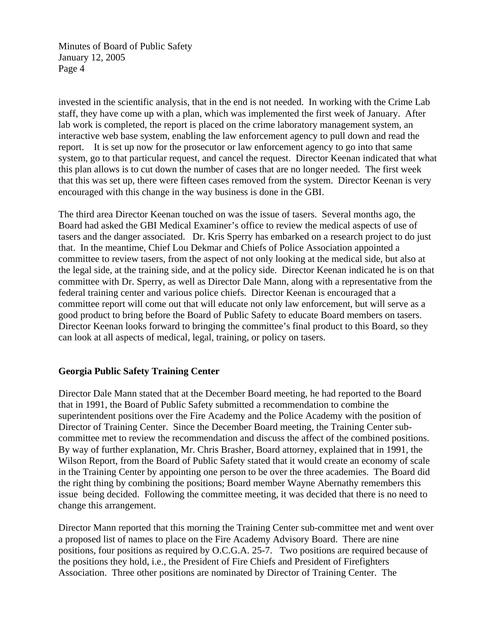invested in the scientific analysis, that in the end is not needed. In working with the Crime Lab staff, they have come up with a plan, which was implemented the first week of January. After lab work is completed, the report is placed on the crime laboratory management system, an interactive web base system, enabling the law enforcement agency to pull down and read the report. It is set up now for the prosecutor or law enforcement agency to go into that same system, go to that particular request, and cancel the request. Director Keenan indicated that what this plan allows is to cut down the number of cases that are no longer needed. The first week that this was set up, there were fifteen cases removed from the system. Director Keenan is very encouraged with this change in the way business is done in the GBI.

The third area Director Keenan touched on was the issue of tasers. Several months ago, the Board had asked the GBI Medical Examiner's office to review the medical aspects of use of tasers and the danger associated. Dr. Kris Sperry has embarked on a research project to do just that. In the meantime, Chief Lou Dekmar and Chiefs of Police Association appointed a committee to review tasers, from the aspect of not only looking at the medical side, but also at the legal side, at the training side, and at the policy side. Director Keenan indicated he is on that committee with Dr. Sperry, as well as Director Dale Mann, along with a representative from the federal training center and various police chiefs. Director Keenan is encouraged that a committee report will come out that will educate not only law enforcement, but will serve as a good product to bring before the Board of Public Safety to educate Board members on tasers. Director Keenan looks forward to bringing the committee's final product to this Board, so they can look at all aspects of medical, legal, training, or policy on tasers.

# **Georgia Public Safety Training Center**

Director Dale Mann stated that at the December Board meeting, he had reported to the Board that in 1991, the Board of Public Safety submitted a recommendation to combine the superintendent positions over the Fire Academy and the Police Academy with the position of Director of Training Center. Since the December Board meeting, the Training Center subcommittee met to review the recommendation and discuss the affect of the combined positions. By way of further explanation, Mr. Chris Brasher, Board attorney, explained that in 1991, the Wilson Report, from the Board of Public Safety stated that it would create an economy of scale in the Training Center by appointing one person to be over the three academies. The Board did the right thing by combining the positions; Board member Wayne Abernathy remembers this issue being decided. Following the committee meeting, it was decided that there is no need to change this arrangement.

Director Mann reported that this morning the Training Center sub-committee met and went over a proposed list of names to place on the Fire Academy Advisory Board. There are nine positions, four positions as required by O.C.G.A. 25-7. Two positions are required because of the positions they hold, i.e., the President of Fire Chiefs and President of Firefighters Association. Three other positions are nominated by Director of Training Center. The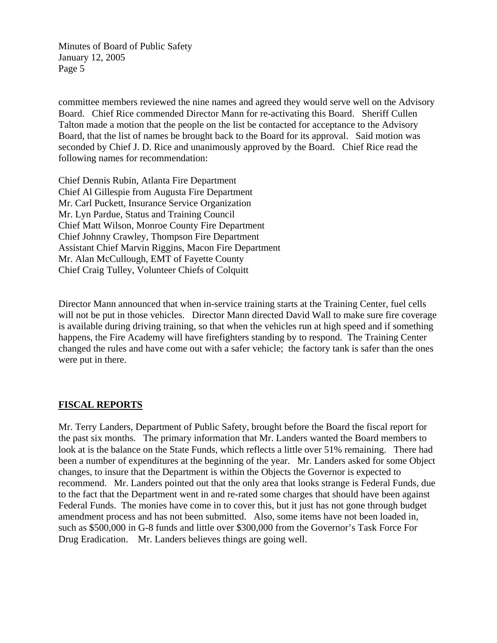committee members reviewed the nine names and agreed they would serve well on the Advisory Board. Chief Rice commended Director Mann for re-activating this Board. Sheriff Cullen Talton made a motion that the people on the list be contacted for acceptance to the Advisory Board, that the list of names be brought back to the Board for its approval. Said motion was seconded by Chief J. D. Rice and unanimously approved by the Board. Chief Rice read the following names for recommendation:

Chief Dennis Rubin, Atlanta Fire Department Chief Al Gillespie from Augusta Fire Department Mr. Carl Puckett, Insurance Service Organization Mr. Lyn Pardue, Status and Training Council Chief Matt Wilson, Monroe County Fire Department Chief Johnny Crawley, Thompson Fire Department Assistant Chief Marvin Riggins, Macon Fire Department Mr. Alan McCullough, EMT of Fayette County Chief Craig Tulley, Volunteer Chiefs of Colquitt

Director Mann announced that when in-service training starts at the Training Center, fuel cells will not be put in those vehicles. Director Mann directed David Wall to make sure fire coverage is available during driving training, so that when the vehicles run at high speed and if something happens, the Fire Academy will have firefighters standing by to respond. The Training Center changed the rules and have come out with a safer vehicle; the factory tank is safer than the ones were put in there.

# **FISCAL REPORTS**

Mr. Terry Landers, Department of Public Safety, brought before the Board the fiscal report for the past six months. The primary information that Mr. Landers wanted the Board members to look at is the balance on the State Funds, which reflects a little over 51% remaining. There had been a number of expenditures at the beginning of the year. Mr. Landers asked for some Object changes, to insure that the Department is within the Objects the Governor is expected to recommend. Mr. Landers pointed out that the only area that looks strange is Federal Funds, due to the fact that the Department went in and re-rated some charges that should have been against Federal Funds. The monies have come in to cover this, but it just has not gone through budget amendment process and has not been submitted. Also, some items have not been loaded in, such as \$500,000 in G-8 funds and little over \$300,000 from the Governor's Task Force For Drug Eradication. Mr. Landers believes things are going well.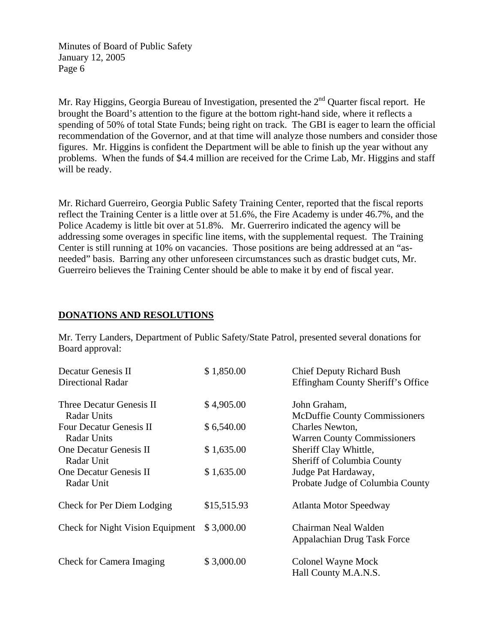Mr. Ray Higgins, Georgia Bureau of Investigation, presented the 2<sup>nd</sup> Quarter fiscal report. He brought the Board's attention to the figure at the bottom right-hand side, where it reflects a spending of 50% of total State Funds; being right on track. The GBI is eager to learn the official recommendation of the Governor, and at that time will analyze those numbers and consider those figures. Mr. Higgins is confident the Department will be able to finish up the year without any problems. When the funds of \$4.4 million are received for the Crime Lab, Mr. Higgins and staff will be ready.

Mr. Richard Guerreiro, Georgia Public Safety Training Center, reported that the fiscal reports reflect the Training Center is a little over at 51.6%, the Fire Academy is under 46.7%, and the Police Academy is little bit over at 51.8%. Mr. Guerreriro indicated the agency will be addressing some overages in specific line items, with the supplemental request. The Training Center is still running at 10% on vacancies. Those positions are being addressed at an "asneeded" basis. Barring any other unforeseen circumstances such as drastic budget cuts, Mr. Guerreiro believes the Training Center should be able to make it by end of fiscal year.

### **DONATIONS AND RESOLUTIONS**

Mr. Terry Landers, Department of Public Safety/State Patrol, presented several donations for Board approval:

| Decatur Genesis II<br><b>Directional Radar</b>       | \$1,850.00  | <b>Chief Deputy Richard Bush</b><br>Effingham County Sheriff's Office |
|------------------------------------------------------|-------------|-----------------------------------------------------------------------|
| Three Decatur Genesis II<br><b>Radar Units</b>       | \$4,905.00  | John Graham,<br><b>McDuffie County Commissioners</b>                  |
| <b>Four Decatur Genesis II</b><br><b>Radar Units</b> | \$6,540.00  | Charles Newton,<br><b>Warren County Commissioners</b>                 |
| One Decatur Genesis II<br>Radar Unit                 | \$1,635.00  | Sheriff Clay Whittle,<br><b>Sheriff of Columbia County</b>            |
| One Decatur Genesis II<br>Radar Unit                 | \$1,635.00  | Judge Pat Hardaway,<br>Probate Judge of Columbia County               |
| Check for Per Diem Lodging                           | \$15,515.93 | Atlanta Motor Speedway                                                |
| <b>Check for Night Vision Equipment</b>              | \$3,000.00  | Chairman Neal Walden<br>Appalachian Drug Task Force                   |
| <b>Check for Camera Imaging</b>                      | \$3,000.00  | Colonel Wayne Mock<br>Hall County M.A.N.S.                            |